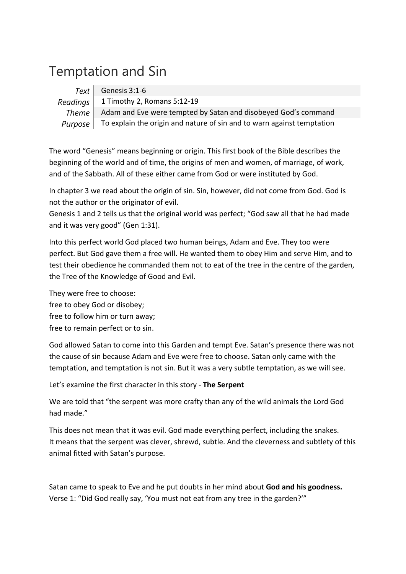## Temptation and Sin

|              | $Text \vert$ Genesis 3:1-6                                             |
|--------------|------------------------------------------------------------------------|
|              | Readings   1 Timothy 2, Romans 5:12-19                                 |
| <b>Theme</b> | Adam and Eve were tempted by Satan and disobeyed God's command         |
| Purpose      | To explain the origin and nature of sin and to warn against temptation |

The word "Genesis" means beginning or origin. This first book of the Bible describes the beginning of the world and of time, the origins of men and women, of marriage, of work, and of the Sabbath. All of these either came from God or were instituted by God.

In chapter 3 we read about the origin of sin. Sin, however, did not come from God. God is not the author or the originator of evil.

Genesis 1 and 2 tells us that the original world was perfect; "God saw all that he had made and it was very good" (Gen 1:31).

Into this perfect world God placed two human beings, Adam and Eve. They too were perfect. But God gave them a free will. He wanted them to obey Him and serve Him, and to test their obedience he commanded them not to eat of the tree in the centre of the garden, the Tree of the Knowledge of Good and Evil.

They were free to choose: free to obey God or disobey; free to follow him or turn away; free to remain perfect or to sin.

God allowed Satan to come into this Garden and tempt Eve. Satan's presence there was not the cause of sin because Adam and Eve were free to choose. Satan only came with the temptation, and temptation is not sin. But it was a very subtle temptation, as we will see.

Let's examine the first character in this story ‐ **The Serpent**

We are told that "the serpent was more crafty than any of the wild animals the Lord God had made."

This does not mean that it was evil. God made everything perfect, including the snakes. It means that the serpent was clever, shrewd, subtle. And the cleverness and subtlety of this animal fitted with Satan's purpose.

Satan came to speak to Eve and he put doubts in her mind about **God and his goodness.** Verse 1: "Did God really say, 'You must not eat from any tree in the garden?'"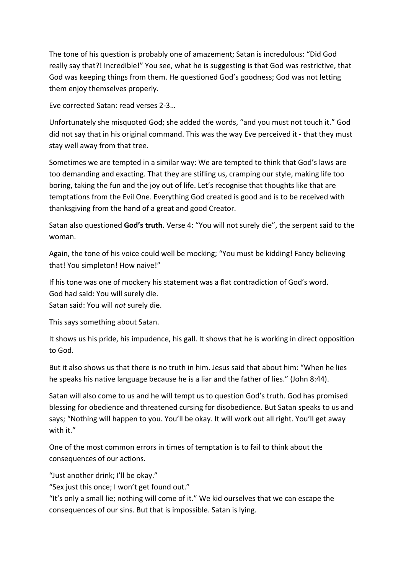The tone of his question is probably one of amazement; Satan is incredulous: "Did God really say that?! Incredible!" You see, what he is suggesting is that God was restrictive, that God was keeping things from them. He questioned God's goodness; God was not letting them enjoy themselves properly.

Eve corrected Satan: read verses 2‐3…

Unfortunately she misquoted God; she added the words, "and you must not touch it." God did not say that in his original command. This was the way Eve perceived it ‐ that they must stay well away from that tree.

Sometimes we are tempted in a similar way: We are tempted to think that God's laws are too demanding and exacting. That they are stifling us, cramping our style, making life too boring, taking the fun and the joy out of life. Let's recognise that thoughts like that are temptations from the Evil One. Everything God created is good and is to be received with thanksgiving from the hand of a great and good Creator.

Satan also questioned **God's truth**. Verse 4: "You will not surely die", the serpent said to the woman.

Again, the tone of his voice could well be mocking; "You must be kidding! Fancy believing that! You simpleton! How naive!"

If his tone was one of mockery his statement was a flat contradiction of God's word. God had said: You will surely die.

Satan said: You will *not* surely die.

This says something about Satan.

It shows us his pride, his impudence, his gall. It shows that he is working in direct opposition to God.

But it also shows us that there is no truth in him. Jesus said that about him: "When he lies he speaks his native language because he is a liar and the father of lies." (John 8:44).

Satan will also come to us and he will tempt us to question God's truth. God has promised blessing for obedience and threatened cursing for disobedience. But Satan speaks to us and says; "Nothing will happen to you. You'll be okay. It will work out all right. You'll get away with it."

One of the most common errors in times of temptation is to fail to think about the consequences of our actions.

"Just another drink; I'll be okay."

"Sex just this once; I won't get found out."

"It's only a small lie; nothing will come of it." We kid ourselves that we can escape the consequences of our sins. But that is impossible. Satan is lying.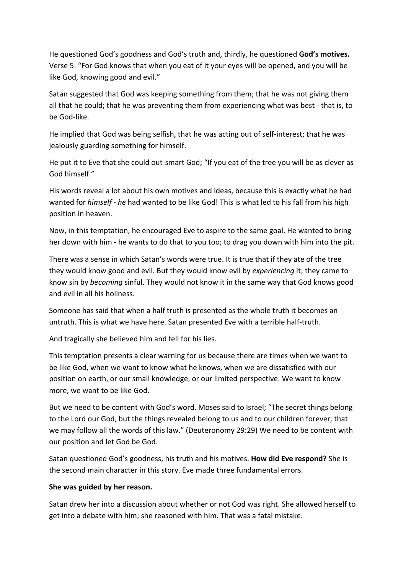He questioned God's goodness and God's truth and, thirdly, he questioned **God's motives.** Verse 5: "For God knows that when you eat of it your eyes will be opened, and you will be like God, knowing good and evil."

Satan suggested that God was keeping something from them; that he was not giving them all that he could; that he was preventing them from experiencing what was best ‐ that is, to be God‐like.

He implied that God was being selfish, that he was acting out of self-interest; that he was jealously guarding something for himself.

He put it to Eve that she could out-smart God; "If you eat of the tree you will be as clever as God himself."

His words reveal a lot about his own motives and ideas, because this is exactly what he had wanted for *himself* ‐ *he* had wanted to be like God! This is what led to his fall from his high position in heaven.

Now, in this temptation, he encouraged Eve to aspire to the same goal. He wanted to bring her down with him - he wants to do that to you too; to drag you down with him into the pit.

There was a sense in which Satan's words were true. It is true that if they ate of the tree they would know good and evil. But they would know evil by *experiencing* it; they came to know sin by *becoming* sinful. They would not know it in the same way that God knows good and evil in all his holiness.

Someone has said that when a half truth is presented as the whole truth it becomes an untruth. This is what we have here. Satan presented Eve with a terrible half‐truth.

And tragically she believed him and fell for his lies.

This temptation presents a clear warning for us because there are times when we want to be like God, when we want to know what he knows, when we are dissatisfied with our position on earth, or our small knowledge, or our limited perspective. We want to know more, we want to be like God.

But we need to be content with God's word. Moses said to Israel; "The secret things belong to the Lord our God, but the things revealed belong to us and to our children forever, that we may follow all the words of this law." (Deuteronomy 29:29) We need to be content with our position and let God be God.

Satan questioned God's goodness, his truth and his motives. **How did Eve respond?** She is the second main character in this story. Eve made three fundamental errors.

## **She was guided by her reason.**

Satan drew her into a discussion about whether or not God was right. She allowed herself to get into a debate with him; she reasoned with him. That was a fatal mistake.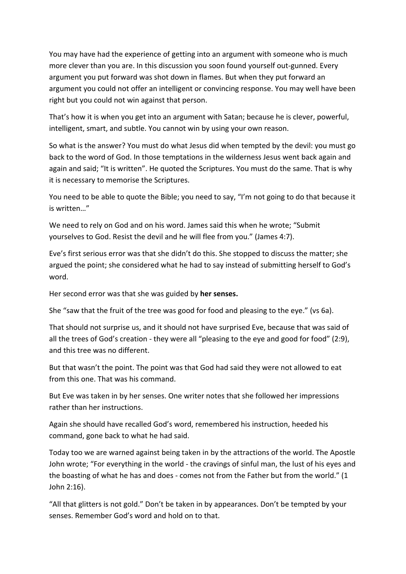You may have had the experience of getting into an argument with someone who is much more clever than you are. In this discussion you soon found yourself out‐gunned. Every argument you put forward was shot down in flames. But when they put forward an argument you could not offer an intelligent or convincing response. You may well have been right but you could not win against that person.

That's how it is when you get into an argument with Satan; because he is clever, powerful, intelligent, smart, and subtle. You cannot win by using your own reason.

So what is the answer? You must do what Jesus did when tempted by the devil: you must go back to the word of God. In those temptations in the wilderness Jesus went back again and again and said; "It is written". He quoted the Scriptures. You must do the same. That is why it is necessary to memorise the Scriptures.

You need to be able to quote the Bible; you need to say, "I'm not going to do that because it is written…"

We need to rely on God and on his word. James said this when he wrote; "Submit yourselves to God. Resist the devil and he will flee from you." (James 4:7).

Eve's first serious error was that she didn't do this. She stopped to discuss the matter; she argued the point; she considered what he had to say instead of submitting herself to God's word.

Her second error was that she was guided by **her senses.**

She "saw that the fruit of the tree was good for food and pleasing to the eye." (vs 6a).

That should not surprise us, and it should not have surprised Eve, because that was said of all the trees of God's creation ‐ they were all "pleasing to the eye and good for food" (2:9), and this tree was no different.

But that wasn't the point. The point was that God had said they were not allowed to eat from this one. That was his command.

But Eve was taken in by her senses. One writer notes that she followed her impressions rather than her instructions.

Again she should have recalled God's word, remembered his instruction, heeded his command, gone back to what he had said.

Today too we are warned against being taken in by the attractions of the world. The Apostle John wrote; "For everything in the world ‐ the cravings of sinful man, the lust of his eyes and the boasting of what he has and does ‐ comes not from the Father but from the world." (1 John 2:16).

"All that glitters is not gold." Don't be taken in by appearances. Don't be tempted by your senses. Remember God's word and hold on to that.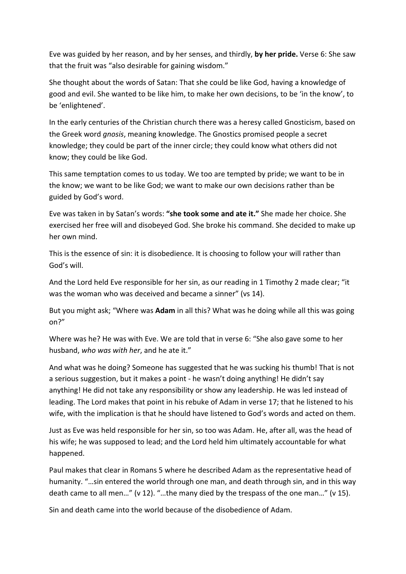Eve was guided by her reason, and by her senses, and thirdly, **by her pride.** Verse 6: She saw that the fruit was "also desirable for gaining wisdom."

She thought about the words of Satan: That she could be like God, having a knowledge of good and evil. She wanted to be like him, to make her own decisions, to be 'in the know', to be 'enlightened'.

In the early centuries of the Christian church there was a heresy called Gnosticism, based on the Greek word *gnosis*, meaning knowledge. The Gnostics promised people a secret knowledge; they could be part of the inner circle; they could know what others did not know; they could be like God.

This same temptation comes to us today. We too are tempted by pride; we want to be in the know; we want to be like God; we want to make our own decisions rather than be guided by God's word.

Eve was taken in by Satan's words: **"she took some and ate it."** She made her choice. She exercised her free will and disobeyed God. She broke his command. She decided to make up her own mind.

This is the essence of sin: it is disobedience. It is choosing to follow your will rather than God's will.

And the Lord held Eve responsible for her sin, as our reading in 1 Timothy 2 made clear; "it was the woman who was deceived and became a sinner" (vs 14).

But you might ask; "Where was **Adam** in all this? What was he doing while all this was going on?"

Where was he? He was with Eve. We are told that in verse 6: "She also gave some to her husband, *who was with her*, and he ate it."

And what was he doing? Someone has suggested that he was sucking his thumb! That is not a serious suggestion, but it makes a point ‐ he wasn't doing anything! He didn't say anything! He did not take any responsibility or show any leadership. He was led instead of leading. The Lord makes that point in his rebuke of Adam in verse 17; that he listened to his wife, with the implication is that he should have listened to God's words and acted on them.

Just as Eve was held responsible for her sin, so too was Adam. He, after all, was the head of his wife; he was supposed to lead; and the Lord held him ultimately accountable for what happened.

Paul makes that clear in Romans 5 where he described Adam as the representative head of humanity. "…sin entered the world through one man, and death through sin, and in this way death came to all men…" (v 12). "…the many died by the trespass of the one man…" (v 15).

Sin and death came into the world because of the disobedience of Adam.